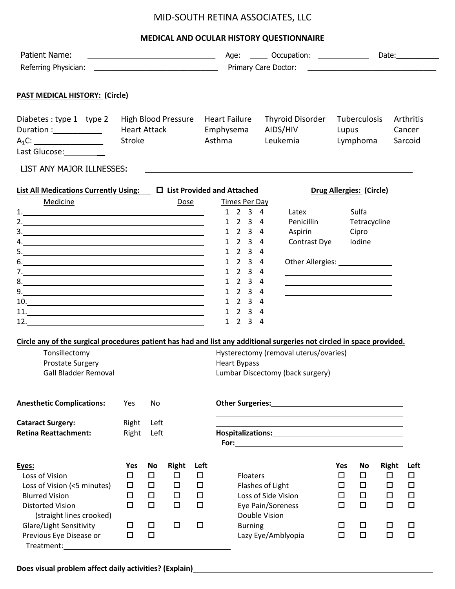## MID-SOUTH RETINA ASSOCIATES, LLC

## **MEDICAL AND OCULAR HISTORY QUESTIONNAIRE**

| Patient Name:                                                                                                                                                                                                                                                                                                                                                                                                                   |        |        |              |        |  |                                             | Age: _______ Occupation: ______________ |                      |                                                                                                                        |                                   |                          |              | Date: $\_$          |  |  |
|---------------------------------------------------------------------------------------------------------------------------------------------------------------------------------------------------------------------------------------------------------------------------------------------------------------------------------------------------------------------------------------------------------------------------------|--------|--------|--------------|--------|--|---------------------------------------------|-----------------------------------------|----------------------|------------------------------------------------------------------------------------------------------------------------|-----------------------------------|--------------------------|--------------|---------------------|--|--|
| Referring Physician:                                                                                                                                                                                                                                                                                                                                                                                                            |        |        |              |        |  | Primary Care Doctor:                        |                                         |                      |                                                                                                                        |                                   |                          |              |                     |  |  |
| <b>PAST MEDICAL HISTORY: (Circle)</b>                                                                                                                                                                                                                                                                                                                                                                                           |        |        |              |        |  |                                             |                                         |                      |                                                                                                                        |                                   |                          |              |                     |  |  |
| Diabetes: type 1 type 2<br>High Blood Pressure<br>Duration :_____________<br><b>Heart Attack</b>                                                                                                                                                                                                                                                                                                                                |        |        |              |        |  | <b>Heart Failure</b><br>Emphysema<br>Asthma |                                         |                      | Thyroid Disorder<br>AIDS/HIV                                                                                           | Tuberculosis<br>Lupus<br>Lymphoma |                          |              | Arthritis<br>Cancer |  |  |
| $A_1C:$<br><b>Stroke</b><br>Last Glucose: _________                                                                                                                                                                                                                                                                                                                                                                             |        |        |              |        |  | Leukemia                                    |                                         |                      |                                                                                                                        |                                   | Sarcoid                  |              |                     |  |  |
| LIST ANY MAJOR ILLNESSES:                                                                                                                                                                                                                                                                                                                                                                                                       |        |        |              |        |  |                                             |                                         |                      |                                                                                                                        |                                   |                          |              |                     |  |  |
| <b>List All Medications Currently Using:</b> $\Box$ List Provided and Attached                                                                                                                                                                                                                                                                                                                                                  |        |        |              |        |  |                                             |                                         |                      |                                                                                                                        |                                   | Drug Allergies: (Circle) |              |                     |  |  |
| Medicine                                                                                                                                                                                                                                                                                                                                                                                                                        |        |        | Dose         |        |  |                                             |                                         | <b>Times Per Day</b> |                                                                                                                        |                                   |                          |              |                     |  |  |
| 1.                                                                                                                                                                                                                                                                                                                                                                                                                              |        |        |              |        |  | $1 \t2 \t3 \t4$                             |                                         |                      | Latex                                                                                                                  |                                   | Sulfa                    |              |                     |  |  |
| 2. $\overline{\phantom{a}}$                                                                                                                                                                                                                                                                                                                                                                                                     |        |        |              |        |  | $1 \quad 2 \quad 3 \quad 4$                 |                                         |                      | Penicillin                                                                                                             |                                   | Tetracycline             |              |                     |  |  |
| $\frac{3}{2}$                                                                                                                                                                                                                                                                                                                                                                                                                   |        |        |              |        |  | 1 2 3 4                                     |                                         |                      | Aspirin                                                                                                                |                                   | Cipro                    |              |                     |  |  |
| 4.                                                                                                                                                                                                                                                                                                                                                                                                                              |        |        |              |        |  | $1 \t2 \t3 \t4$                             |                                         |                      | Contrast Dye                                                                                                           |                                   | Iodine                   |              |                     |  |  |
|                                                                                                                                                                                                                                                                                                                                                                                                                                 |        |        |              |        |  | 1 2 3 4                                     |                                         |                      |                                                                                                                        |                                   |                          |              |                     |  |  |
| $6. \qquad \qquad 6. \qquad \qquad 6. \qquad \qquad 6. \qquad \qquad 6. \qquad \qquad 6. \qquad \qquad 6. \qquad \qquad 6. \qquad \qquad 6. \qquad \qquad 6. \qquad \qquad 6. \qquad \qquad 6. \qquad \qquad 6. \qquad \qquad 6. \qquad \qquad 6. \qquad \qquad 6. \qquad \qquad 6. \qquad \qquad 6. \qquad \qquad 6. \qquad \qquad 6. \qquad \qquad 6. \qquad \qquad 6. \qquad \qquad 6. \qquad \qquad 6. \qquad \qquad 6. \q$ |        |        |              |        |  | 1 2 3 4                                     |                                         |                      | Other Allergies: _______________                                                                                       |                                   |                          |              |                     |  |  |
|                                                                                                                                                                                                                                                                                                                                                                                                                                 |        |        |              |        |  | 1 2 3 4                                     |                                         |                      |                                                                                                                        |                                   |                          |              |                     |  |  |
| 8.                                                                                                                                                                                                                                                                                                                                                                                                                              |        |        |              |        |  | $1 \t2 \t3 \t4$                             |                                         |                      | <u> 1989 - Johann Barn, mars ann an t-Amhain ann an t-Amhain an t-Amhain an t-Amhain an t-Amhain an t-Amhain an t-</u> |                                   |                          |              |                     |  |  |
| 9.                                                                                                                                                                                                                                                                                                                                                                                                                              |        |        |              |        |  | 1 2 3 4                                     |                                         |                      | <u> 1989 - Johann Stoff, Amerikaansk politiker († 1908)</u>                                                            |                                   |                          |              |                     |  |  |
| $\begin{array}{c c c c c} \hline \multicolumn{3}{c }{\textbf{10}}. \end{array}$                                                                                                                                                                                                                                                                                                                                                 |        |        |              |        |  | 1 2 3 4                                     |                                         |                      |                                                                                                                        |                                   |                          |              |                     |  |  |
|                                                                                                                                                                                                                                                                                                                                                                                                                                 |        |        |              |        |  | $1 \t2 \t3 \t4$<br>$1 \t2 \t3 \t4$          |                                         |                      |                                                                                                                        |                                   |                          |              |                     |  |  |
|                                                                                                                                                                                                                                                                                                                                                                                                                                 |        |        |              |        |  |                                             |                                         |                      |                                                                                                                        |                                   |                          |              |                     |  |  |
| Circle any of the surgical procedures patient has had and list any additional surgeries not circled in space provided.                                                                                                                                                                                                                                                                                                          |        |        |              |        |  |                                             |                                         |                      |                                                                                                                        |                                   |                          |              |                     |  |  |
| Tonsillectomy                                                                                                                                                                                                                                                                                                                                                                                                                   |        |        |              |        |  |                                             |                                         |                      | Hysterectomy (removal uterus/ovaries)                                                                                  |                                   |                          |              |                     |  |  |
| <b>Prostate Surgery</b>                                                                                                                                                                                                                                                                                                                                                                                                         |        |        |              |        |  | <b>Heart Bypass</b>                         |                                         |                      |                                                                                                                        |                                   |                          |              |                     |  |  |
| <b>Gall Bladder Removal</b>                                                                                                                                                                                                                                                                                                                                                                                                     |        |        |              |        |  | Lumbar Discectomy (back surgery)            |                                         |                      |                                                                                                                        |                                   |                          |              |                     |  |  |
|                                                                                                                                                                                                                                                                                                                                                                                                                                 |        |        |              |        |  |                                             |                                         |                      |                                                                                                                        |                                   |                          |              |                     |  |  |
|                                                                                                                                                                                                                                                                                                                                                                                                                                 | Yes    |        |              |        |  |                                             |                                         |                      |                                                                                                                        |                                   |                          |              |                     |  |  |
| <b>Anesthetic Complications:</b>                                                                                                                                                                                                                                                                                                                                                                                                |        | No     |              |        |  |                                             |                                         |                      |                                                                                                                        |                                   |                          |              |                     |  |  |
| <b>Cataract Surgery:</b>                                                                                                                                                                                                                                                                                                                                                                                                        | Right  | Left   |              |        |  |                                             |                                         |                      |                                                                                                                        |                                   |                          |              |                     |  |  |
| <b>Retina Reattachment:</b>                                                                                                                                                                                                                                                                                                                                                                                                     | Right  | Left   |              |        |  |                                             |                                         |                      | Hospitalizations: 1999 March 2010 March 2010 March 2010 March 2010 March 2010 March 2010 March 2010 March 2010         |                                   |                          |              |                     |  |  |
|                                                                                                                                                                                                                                                                                                                                                                                                                                 |        |        |              |        |  |                                             |                                         |                      |                                                                                                                        |                                   |                          |              |                     |  |  |
| Eyes:                                                                                                                                                                                                                                                                                                                                                                                                                           | Yes    | No     | <b>Right</b> | Left   |  |                                             |                                         |                      |                                                                                                                        | Yes                               | No                       | <b>Right</b> | Left                |  |  |
| Loss of Vision                                                                                                                                                                                                                                                                                                                                                                                                                  | $\Box$ | $\Box$ | $\Box$       | $\Box$ |  |                                             | <b>Floaters</b>                         |                      |                                                                                                                        | □                                 | $\Box$                   | $\Box$       | $\Box$              |  |  |
| Loss of Vision (<5 minutes)                                                                                                                                                                                                                                                                                                                                                                                                     | $\Box$ | $\Box$ | $\Box$       | $\Box$ |  |                                             |                                         |                      | Flashes of Light                                                                                                       | □                                 | $\Box$                   | $\Box$       | $\Box$              |  |  |
| <b>Blurred Vision</b>                                                                                                                                                                                                                                                                                                                                                                                                           | $\Box$ | $\Box$ | $\Box$       | $\Box$ |  |                                             |                                         |                      | Loss of Side Vision                                                                                                    | □                                 | $\Box$                   | □            | $\Box$              |  |  |
| <b>Distorted Vision</b>                                                                                                                                                                                                                                                                                                                                                                                                         | $\Box$ | $\Box$ | $\Box$       | $\Box$ |  |                                             |                                         |                      | Eye Pain/Soreness                                                                                                      | $\Box$                            | $\Box$                   | $\Box$       | $\Box$              |  |  |
| (straight lines crooked)                                                                                                                                                                                                                                                                                                                                                                                                        |        |        |              |        |  |                                             |                                         | Double Vision        |                                                                                                                        |                                   |                          |              |                     |  |  |
| Glare/Light Sensitivity                                                                                                                                                                                                                                                                                                                                                                                                         | □      | $\Box$ | $\Box$       | $\Box$ |  |                                             |                                         |                      |                                                                                                                        | □                                 | □                        | □            | $\Box$              |  |  |
|                                                                                                                                                                                                                                                                                                                                                                                                                                 |        |        |              |        |  |                                             | <b>Burning</b>                          |                      |                                                                                                                        |                                   |                          |              |                     |  |  |
| Previous Eye Disease or                                                                                                                                                                                                                                                                                                                                                                                                         | $\Box$ | $\Box$ |              |        |  |                                             |                                         |                      | Lazy Eye/Amblyopia                                                                                                     | $\Box$                            | $\Box$                   | $\Box$       | $\Box$              |  |  |

**Does visual problem affect daily activities? (Explain)**\_\_\_\_\_\_\_\_\_\_\_\_\_\_\_\_\_\_\_\_\_\_\_\_\_\_\_\_\_\_\_\_\_\_\_\_\_\_\_\_\_\_\_\_\_\_\_\_\_\_\_\_\_\_\_\_\_\_\_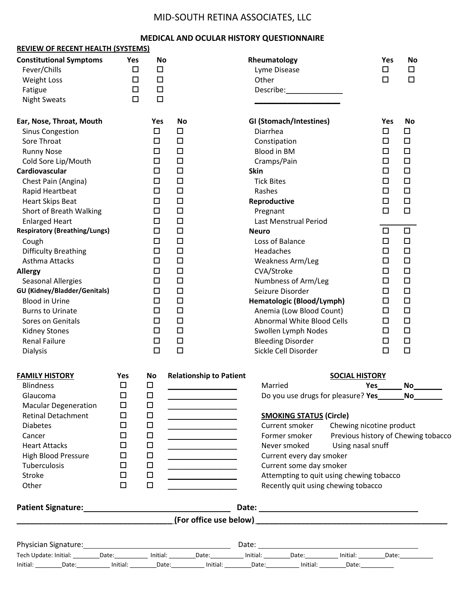## MID-SOUTH RETINA ASSOCIATES, LLC

## **MEDICAL AND OCULAR HISTORY QUESTIONNAIRE**

| <b>REVIEW OF RECENT HEALTH (SYSTEMS)</b>                                                                                                                                                                                                                                                                                                                                                                                                                                                                                                                                                      |                                                                        |                                                                                                                                                                                                                                           |                                                                                                                                                                                                                                                 |                                                                                                                                                                                                                                                                                                                                                                                                                                                                                            |                                            |                                                                                                                                                                                                                                                                                                                                                                                                                                                                          |
|-----------------------------------------------------------------------------------------------------------------------------------------------------------------------------------------------------------------------------------------------------------------------------------------------------------------------------------------------------------------------------------------------------------------------------------------------------------------------------------------------------------------------------------------------------------------------------------------------|------------------------------------------------------------------------|-------------------------------------------------------------------------------------------------------------------------------------------------------------------------------------------------------------------------------------------|-------------------------------------------------------------------------------------------------------------------------------------------------------------------------------------------------------------------------------------------------|--------------------------------------------------------------------------------------------------------------------------------------------------------------------------------------------------------------------------------------------------------------------------------------------------------------------------------------------------------------------------------------------------------------------------------------------------------------------------------------------|--------------------------------------------|--------------------------------------------------------------------------------------------------------------------------------------------------------------------------------------------------------------------------------------------------------------------------------------------------------------------------------------------------------------------------------------------------------------------------------------------------------------------------|
| <b>Constitutional Symptoms</b><br>Fever/Chills<br><b>Weight Loss</b><br>Fatigue<br><b>Night Sweats</b>                                                                                                                                                                                                                                                                                                                                                                                                                                                                                        | Yes<br>$\Box$<br>$\Box$<br>$\Box$<br>$\Box$                            | <b>No</b><br>$\Box$<br>$\Box$<br>$\Box$<br>$\Box$                                                                                                                                                                                         |                                                                                                                                                                                                                                                 | Rheumatology<br>Lyme Disease<br>Other<br>Describe: and the set of the set of the set of the set of the set of the set of the set of the set of the set o                                                                                                                                                                                                                                                                                                                                   |                                            | <b>No</b><br>Yes<br>$\Box$<br>$\Box$<br>$\Box$<br>$\Box$                                                                                                                                                                                                                                                                                                                                                                                                                 |
| Ear, Nose, Throat, Mouth<br><b>Sinus Congestion</b><br>Sore Throat<br><b>Runny Nose</b><br>Cold Sore Lip/Mouth<br>Cardiovascular<br>Chest Pain (Angina)<br>Rapid Heartbeat<br><b>Heart Skips Beat</b><br>Short of Breath Walking<br><b>Enlarged Heart</b><br><b>Respiratory (Breathing/Lungs)</b><br>Cough<br><b>Difficulty Breathing</b><br>Asthma Attacks<br><b>Allergy</b><br><b>Seasonal Allergies</b><br><b>GU (Kidney/Bladder/Genitals)</b><br><b>Blood in Urine</b><br><b>Burns to Urinate</b><br>Sores on Genitals<br><b>Kidney Stones</b><br><b>Renal Failure</b><br><b>Dialysis</b> |                                                                        | Yes<br>$\Box$<br>$\Box$<br>$\Box$<br>$\Box$<br>$\Box$<br>$\Box$<br>$\Box$<br>$\Box$<br>$\Box$<br>$\Box$<br>$\Box$<br>$\Box$<br>$\Box$<br>$\Box$<br>$\Box$<br>$\Box$<br>$\Box$<br>$\Box$<br>$\Box$<br>$\Box$<br>$\Box$<br>$\Box$<br>$\Box$ | <b>No</b><br>$\Box$<br>$\Box$<br>$\Box$<br>$\Box$<br>$\Box$<br>$\Box$<br>$\Box$<br>$\Box$<br>$\Box$<br>$\Box$<br>$\Box$<br>$\Box$<br>$\Box$<br>$\Box$<br>$\Box$<br>$\Box$<br>$\Box$<br>$\Box$<br>$\Box$<br>$\Box$<br>$\Box$<br>$\Box$<br>$\Box$ | GI (Stomach/Intestines)<br>Diarrhea<br>Constipation<br><b>Blood in BM</b><br>Cramps/Pain<br><b>Skin</b><br><b>Tick Bites</b><br>Rashes<br>Reproductive<br>Pregnant<br>Last Menstrual Period<br><b>Neuro</b><br>Loss of Balance<br>Headaches<br>Weakness Arm/Leg<br>CVA/Stroke<br>Numbness of Arm/Leg<br>Seizure Disorder<br>Hematologic (Blood/Lymph)<br>Anemia (Low Blood Count)<br>Abnormal White Blood Cells<br>Swollen Lymph Nodes<br><b>Bleeding Disorder</b><br>Sickle Cell Disorder |                                            | <b>No</b><br>Yes<br>$\Box$<br>$\Box$<br>$\Box$<br>$\Box$<br>$\Box$<br>$\Box$<br>$\Box$<br>$\Box$<br>$\Box$<br>$\Box$<br>$\Box$<br>$\Box$<br>$\Box$<br>$\Box$<br>$\Box$<br>$\Box$<br>$\Box$<br>$\Box$<br>$\Box$<br>$\Box$<br>$\Box$<br>$\Box$<br>$\Box$<br>$\Box$<br>$\Box$<br>$\Box$<br>$\Box$<br>$\Box$<br>$\Box$<br>$\Box$<br>$\Box$<br>$\Box$<br>$\Box$<br>$\Box$<br>$\Box$<br>$\Box$<br>$\Box$<br>$\Box$<br>$\Box$<br>$\Box$<br>$\Box$<br>$\Box$<br>$\Box$<br>$\Box$ |
| <b>FAMILY HISTORY</b><br><b>Blindness</b><br>Glaucoma<br><b>Macular Degeneration</b><br><b>Retinal Detachment</b><br><b>Diabetes</b><br>Cancer<br><b>Heart Attacks</b><br><b>High Blood Pressure</b><br>Tuberculosis<br><b>Stroke</b><br>Other                                                                                                                                                                                                                                                                                                                                                | <b>Yes</b><br>□<br>□<br>□<br>□<br>□<br>□<br>□<br>□<br>□<br>□<br>$\Box$ | No<br>◻<br>$\Box$<br>□<br>$\Box$<br>□<br>□<br>□<br>□<br>$\Box$<br>$\Box$<br>$\Box$                                                                                                                                                        | <b>Relationship to Patient</b><br><u> 1989 - Johann Harry Barn, mars ar breist fan de Fryske kommer</u><br><u> 1989 - Johann Barnett, fransk kongresu</u>                                                                                       | Married<br>Do you use drugs for pleasure? Yes<br><b>SMOKING STATUS (Circle)</b><br>Current smoker Chewing nicotine product<br>Former smoker<br>Never smoked<br>Current every day smoker<br>Current some day smoker<br>Attempting to quit using chewing tobacco<br>Recently quit using chewing tobacco                                                                                                                                                                                      | <b>SOCIAL HISTORY</b><br>Using nasal snuff | No<br>No<br>Previous history of Chewing tobacco                                                                                                                                                                                                                                                                                                                                                                                                                          |
| Patient Signature: Management Control of Table 1 and Table 1 and Table 1 and Table 1 and Table 1 and Table 1 and Table 1 and Table 1 and Table 1 and Table 1 and Table 1 and Table 1 and Table 1 and Table 1 and Table 1 and T                                                                                                                                                                                                                                                                                                                                                                |                                                                        |                                                                                                                                                                                                                                           |                                                                                                                                                                                                                                                 |                                                                                                                                                                                                                                                                                                                                                                                                                                                                                            |                                            |                                                                                                                                                                                                                                                                                                                                                                                                                                                                          |
| Tech Update: Initial: _________Date: ___________ Initial: _________Date: ______________Date: ________________Date: ____________________                                                                                                                                                                                                                                                                                                                                                                                                                                                       |                                                                        |                                                                                                                                                                                                                                           |                                                                                                                                                                                                                                                 |                                                                                                                                                                                                                                                                                                                                                                                                                                                                                            |                                            |                                                                                                                                                                                                                                                                                                                                                                                                                                                                          |